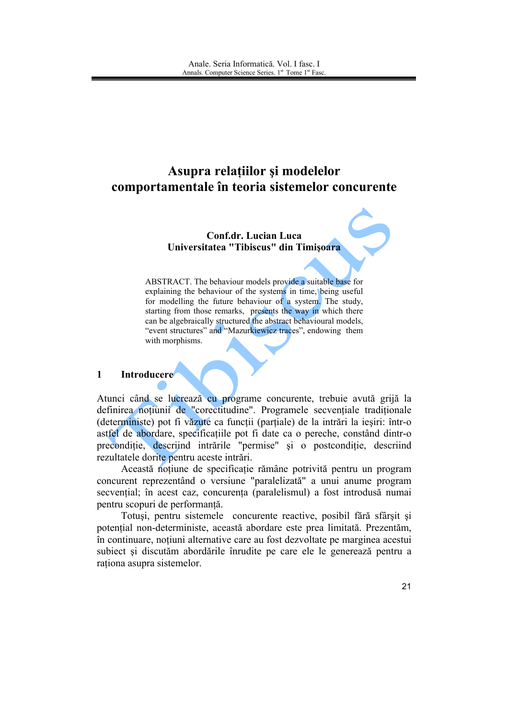# Asupra relatiilor și modelelor comportamentale în teoria sistemelor concurente

## **Conf.dr. Lucian Luca** Universitatea "Tibiscus" din Timisoara

ABSTRACT. The behaviour models provide a suitable base for explaining the behaviour of the systems in time, being useful for modelling the future behaviour of a system. The study, starting from those remarks, presents the way in which there can be algebraically structured the abstract behavioural models. "event structures" and "Mazurkiewicz traces", endowing them with morphisms.

#### $\mathbf{1}$ **Introducere**

Atunci când se lucrează cu programe concurente, trebuie avută grijă la definirea noțiunii de "corectitudine". Programele secvențiale tradiționale (deterministe) pot fi văzute ca funcții (parțiale) de la intrări la ieșiri: într-o astfel de abordare, specificatiile pot fi date ca o pereche, constând dintr-o precondiție, descriind intrările "permise" și o postcondiție, descriind rezultatele dorite pentru aceste intrări.

Această notiune de specificație rămâne potrivită pentru un program concurent reprezentând o versiune "paralelizată" a unui anume program secvential; în acest caz, concurenta (paralelismul) a fost introdusă numai pentru scopuri de performantă.

Totuși, pentru sistemele concurente reactive, posibil fără sfârșit și potential non-deterministe, această abordare este prea limitată. Prezentăm, în continuare, notiuni alternative care au fost dezvoltate pe marginea acestui subiect și discutăm abordările înrudite pe care ele le generează pentru a rationa asupra sistemelor.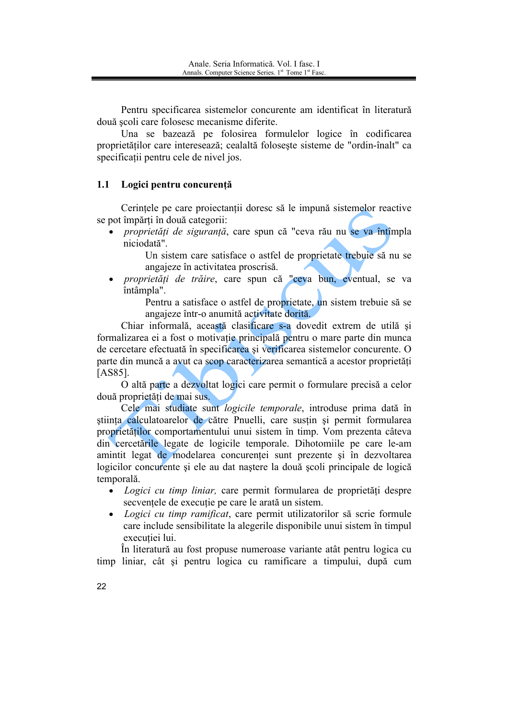Pentru specificarea sistemelor concurente am identificat în literatură două scoli care folosesc mecanisme diferite.

Una se bazează pe folosirea formulelor logice în codificarea proprietăților care interesează; cealaltă folosește sisteme de "ordin-înalt" ca specificatii pentru cele de nivel jos.

#### $1.1$ Logici pentru concurentă

Cerințele pe care proiectanții doresc să le impună sistemelor reactive se pot împărți în două categorii:

*proprietăți de siguranță*, care spun că "ceva rău nu se va întîmpla niciodată".

> Un sistem care satisface o astfel de proprietate trebuie să nu se angajeze în activitatea proscrisă.

*proprietăți de trăire*, care spun că "ceva bun, eventual, se va întâmpla".

> Pentru a satisface o astfel de proprietate, un sistem trebuie să se angajeze într-o anumită activitate dorită.

Chiar informală, această clasificare s-a dovedit extrem de utilă și formalizarea ei a fost o motivație principală pentru o mare parte din munca de cercetare efectuată în specificarea și verificarea sistemelor concurente. O parte din muncă a avut ca scop caracterizarea semantică a acestor proprietăți **[AS85].** 

O altă parte a dezvoltat logici care permit o formulare precisă a celor două proprietăți de mai sus.

Cele mai studiate sunt logicile temporale, introduse prima dată în stiința calculatoarelor de către Pnuelli, care susțin și permit formularea proprietăților comportamentului unui sistem în timp. Vom prezenta câteva din cercetările legate de logicile temporale. Dihotomiile pe care le-am amintit legat de modelarea concurenței sunt prezente și în dezvoltarea logicilor concurente și ele au dat naștere la două școli principale de logică temporală.

- Logici cu timp liniar, care permit formularea de proprietăți despre secventele de executie pe care le arată un sistem.
- Logici cu timp ramificat, care permit utilizatorilor să scrie formule care include sensibilitate la alegerile disponibile unui sistem în timpul executiei lui.

În literatură au fost propuse numeroase variante atât pentru logica cu timp liniar, cât și pentru logica cu ramificare a timpului, după cum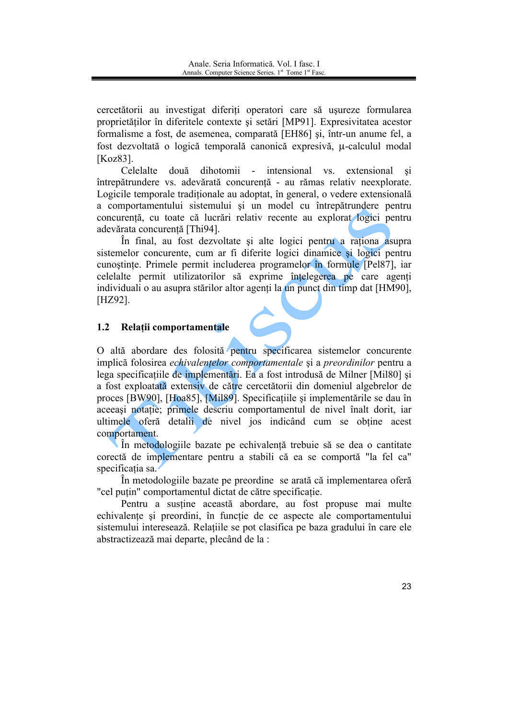cercetătorii au investigat diferiti operatori care să usureze formularea proprietăților în diferitele contexte și setări [MP91]. Expresivitatea acestor formalisme a fost, de asemenea, comparată [EH86] și, într-un anume fel, a fost dezvoltată o logică temporală canonică expresivă. u-calculul modal **[Koz83]** 

Celelalte două dihotomii - intensional vs. extensional si întrepătrundere vs. adevărată concurentă - au rămas relativ neexplorate. Logicile temporale traditionale au adoptat, în general, o vedere extensională a comportamentului sistemului și un model cu întrepătrundere pentru concurentă, cu toate că lucrări relativ recente au explorat logici pentru adevărata concurentă [Thi94].

În final, au fost dezvoltate și alte logici pentru a rationa asupra sistemelor concurente, cum ar fi diferite logici dinamice si logici pentru cunoștințe. Primele permit includerea programelor în formule [Pel87], iar celelalte permit utilizatorilor să exprime întelegerea pe care agenti individuali o au asupra stărilor altor agenți la un punct din timp dat [HM90],  $[HZ92]$ .

#### Relatii comportamentale  $1.2$

O altă abordare des folosită pentru specificarea sistemelor concurente implică folosirea echivalențelor comportamentale și a preordinilor pentru a lega specificatiile de implementări. Ea a fost introdusă de Milner [Mil80] și a fost exploatată extensiv de către cercetătorii din domeniul algebrelor de proces [BW90], [Hoa85], [Mil89]. Specificatiile și implementările se dau în aceeasi notatie; primele descriu comportamentul de nivel înalt dorit, iar ultimele oferă detalii de nivel jos indicând cum se obține acest comportament.

În metodologiile bazate pe echivalentă trebuie să se dea o cantitate corectă de implementare pentru a stabili că ea se comportă "la fel ca" specificatia sa.

În metodologiile bazate pe preordine se arată că implementarea oferă "cel putin" comportamentul dictat de către specificatie.

Pentru a sustine această abordare, au fost propuse mai multe echivalențe și preordini, în funcție de ce aspecte ale comportamentului sistemului interesează. Relatiile se pot clasifica pe baza gradului în care ele abstractizează mai departe, plecând de la :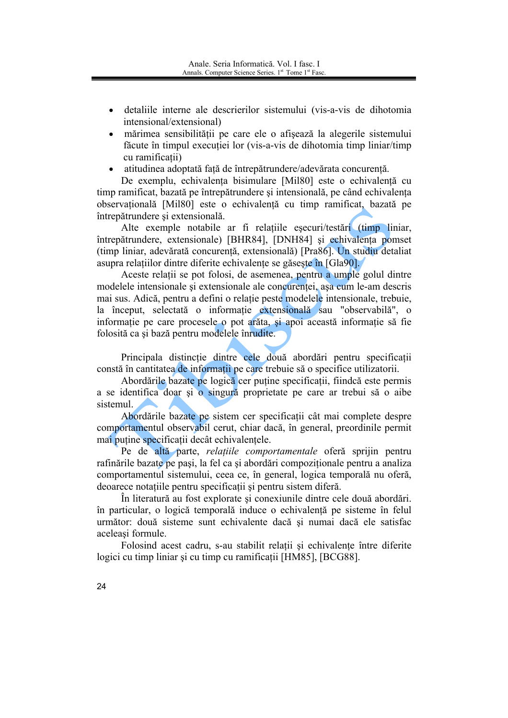- detaliile interne ale descrierilor sistemului (vis-a-vis de dihotomia intensional/extensional)
- · mărimea sensibilității pe care ele o afișează la alegerile sistemului făcute în timpul executiei lor (vis-a-vis de dihotomia timp liniar/timp) cu ramificatii)
- · atitudinea adoptată fată de întrepătrundere/adevărata concurentă.

De exemplu, echivalența bisimulare [Mil80] este o echivalență cu timp ramificat, bazată pe întrepătrundere și intensională, pe când echivalenta observatională [Mil80] este o echivalență cu timp ramificat, bazată pe întrepătrundere și extensională.

Alte exemple notabile ar fi relațiile eșecuri/testări (timp liniar, întrepătrundere, extensionale) [BHR84], [DNH84] și echivalența pomset (timp liniar, adevărată concurență, extensională) [Pra86]. Un studiu detaliat asupra relatiilor dintre diferite echivalente se găsește în [Gla90].

Aceste relații se pot folosi, de asemenea, pentru a umple golul dintre modelele intensionale si extensionale ale concurentei, asa cum le-am descris mai sus. Adică, pentru a defini o relatie peste modelele intensionale, trebuie, la început, selectată o informație extensională sau "observabilă", o informatie pe care procesele o pot arăta, și apoi această informatie să fie folosită ca și bază pentru modelele înrudite.

Principala distincție dintre cele două abordări pentru specificații constă în cantitatea de informatii pe care trebuie să o specifice utilizatorii.

Abordările bazate pe logică cer puține specificații, fiindcă este permis a se identifica doar și o singură proprietate pe care ar trebui să o aibe sistemul

Abordările bazate pe sistem cer specificatii cât mai complete despre comportamentul observabil cerut, chiar dacă, în general, preordinile permit mai putine specificatii decât echivalentele.

Pe de altă parte, relațiile comportamentale oferă sprijin pentru rafinările bazate pe pași, la fel ca și abordări compozitionale pentru a analiza comportamentul sistemului, ceea ce, în general, logica temporală nu oferă, deoarece notațiile pentru specificații și pentru sistem diferă.

În literatură au fost explorate și conexiunile dintre cele două abordări. în particular, o logică temporală induce o echivalentă pe sisteme în felul următor: două sisteme sunt echivalente dacă și numai dacă ele satisfac aceleasi formule.

Folosind acest cadru, s-au stabilit relatii și echivalente între diferite logici cu timp liniar și cu timp cu ramificații [HM85], [BCG88].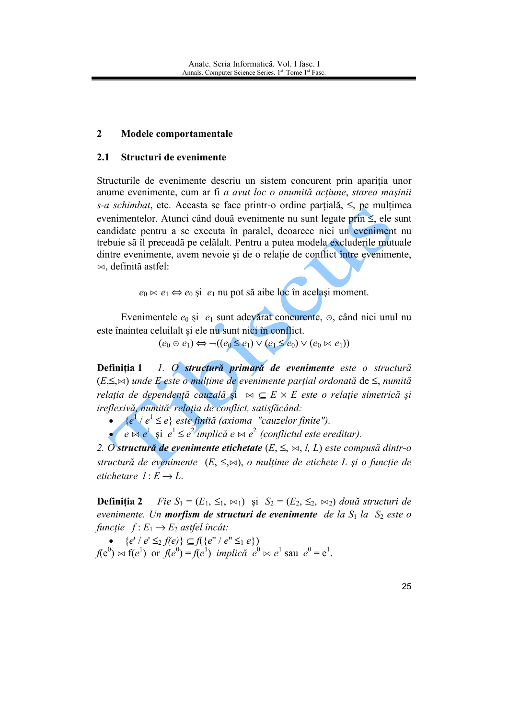#### $\overline{2}$ Modele comportamentale

#### $2.1$ Structuri de evenimente

Structurile de evenimente descriu un sistem concurent prin apariția unor anume evenimente, cum ar fi a avut loc o anumită acțiune, starea mașinii s-a schimbat, etc. Aceasta se face printr-o ordine parțială,  $\leq$ , pe mulțimea evenimentelor. Atunci când două evenimente nu sunt legate prin  $\leq$ , ele sunt candidate pentru a se executa în paralel, deoarece nici un eveniment nu trebuie să îl preceadă pe celălalt. Pentru a putea modela excluderile mutuale dintre evenimente, avem nevoie și de o relație de conflict între evenimente,  $\bowtie$ , definită astfel:

 $e_0 \bowtie e_1 \Leftrightarrow e_0$  și  $e_1$  nu pot să aibe loc în același moment.

Evenimentele  $e_0$  și  $e_1$  sunt adevărat concurente,  $\odot$ , când nici unul nu este înaintea celuilalt și ele nu sunt nici în conflict.

 $(e_0 \odot e_1) \Leftrightarrow \neg((e_0 \leq e_1) \vee (e_1 \leq e_0) \vee (e_0 \bowtie e_1))$ 

Definitia 1 1. O structură primară de evenimente este o structură  $(E \leq \bowtie)$  unde E este o multime de evenimente partial ordonată de  $\leq$ , numită relația de dependență cauzală și  $\bowtie \subseteq E \times E$  este o relație simetrică și ireflexivă, numită relația de conflict, satisfăcând:

•  $\{e^1/e^1 \leq e\}$  este finită (axioma "cauzelor finite").

 $e \otimes e^1$  si  $e^1 \leq e^2$  implică  $e \bowtie e^2$  (conflictul este ereditar).

2. O structură de evenimente etichetate  $(E, \leq, \bowtie, l, L)$  este compusă dintr-o structură de evenimente  $(E, \leq, \bowtie)$ , o mulțime de etichete L și o funcție de etichetare  $l: E \rightarrow L$ .

Definitia 2 *Fie*  $S_1 = (E_1, \leq_1, \bowtie_1)$  și  $S_2 = (E_2, \leq_2, \bowtie_2)$  două structuri de evenimente. Un **morfism de structuri de evenimente** de la  $S_1$  la  $S_2$  este o funcție  $f: E_1 \rightarrow E_2$  astfel încât:

•  ${e' / e' \leq_2 f(e)} \subseteq f({e'' / e'' \leq_1 e})$  $f(e^{0}) \bowtie f(e^{1})$  or  $f(e^{0}) = f(e^{1})$  implică  $e^{0} \bowtie e^{1}$  sau  $e^{0} = e^{1}$ .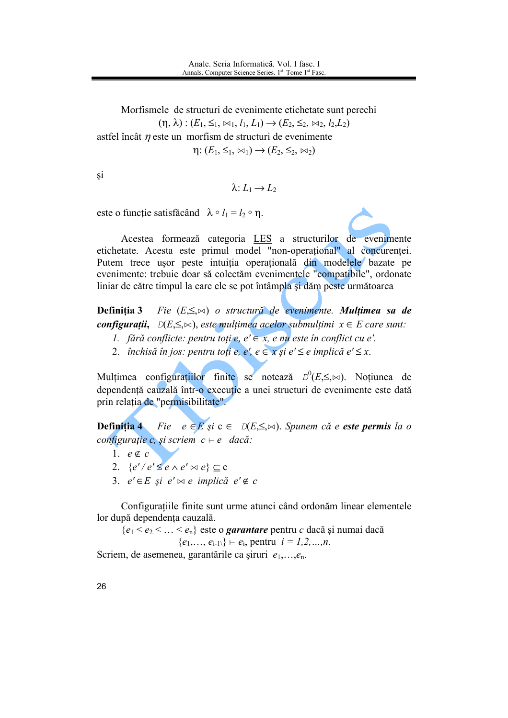Morfismele de structuri de evenimente etichetate sunt perechi  $(\eta, \lambda) : (E_1, \leq_1, \bowtie_1, l_1, L_1) \rightarrow (E_2, \leq_2, \bowtie_2, l_2, L_2)$ astfel încât  $\eta$  este un morfism de structuri de evenimente  $\eta: (E_1, \leq_1, \bowtie_1) \rightarrow (E_2, \leq_2, \bowtie_2)$ 

*si* 

$$
\lambda: L_1 \to L_2
$$

este o funcție satisfăcând  $\lambda \circ l_1 = l_2 \circ \eta$ .

Acestea formează categoria LES a structurilor de evenimente etichetate. Acesta este primul model "non-operational" al concurentei. Putem trece usor peste intuiția operațională din modelele bazate pe evenimente: trebuie doar să colectăm evenimentele "compatibile", ordonate liniar de către timpul la care ele se pot întâmpla și dăm peste următoarea

Definitia 3 Fie  $(E \leq \bowtie)$  o structură de evenimente. Multimea sa de **configuratii,**  $D(E \leq \bowtie)$ , este multimea acelor submultimi  $x \in E$  care sunt:

- 1. fără conflicte: pentru toți e, e'  $\in$  x, e nu este în conflict cu e'.
- 2. închisă în jos: pentru toti e, e', e  $\in$  x si e'  $\leq$  e implică e'  $\leq$  x.

Multimea configurațiilor finite se notează  $D^0(E,\leq,\bowtie)$ . Noțiunea de dependentă cauzală într-o executie a unei structuri de evenimente este dată prin relația de "permisibilitate".

**Definiția** 4 Fie  $e \in E$  și  $c \in D(E, \leq, \bowtie)$ . Spunem că e este permis la o configurație c, și scriem  $c \vdash e$  dacă:

- 1.  $e \notin c$
- 2.  $\{e'/e' \leq e \wedge e' \bowtie e\} \subseteq c$
- 3.  $e' \in E$  și  $e' \bowtie e$  implică  $e' \notin c$

Configurațiile finite sunt urme atunci când ordonăm linear elementele lor după dependenta cauzală.

 ${e_1 < e_2 < ... < e_n}$  este o *garantare* pentru c dacă și numai dacă  $\{e_1,..., e_{i-1}\}\vdash e_i$ , pentru  $i = 1,2,...,n$ .

Scriem, de asemenea, garantările ca șiruri  $e_1, \ldots, e_n$ .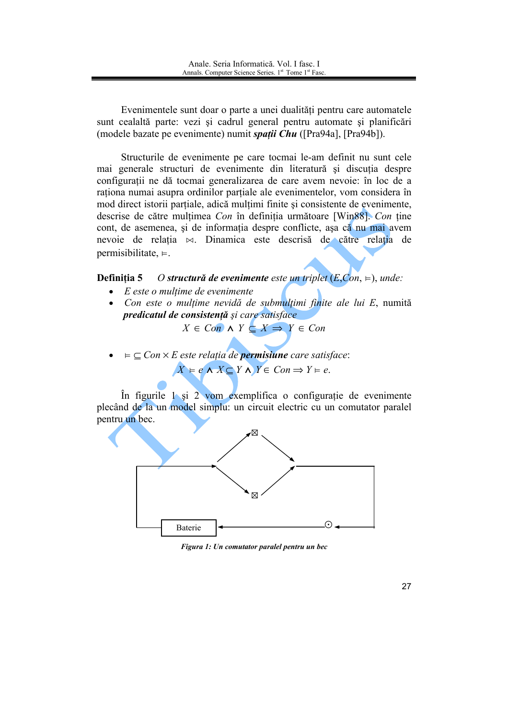Evenimentele sunt doar o parte a unei dualități pentru care automatele sunt cealaltă parte: vezi și cadrul general pentru automate și planificări (modele bazate pe evenimente) numit *spații Chu* ([Pra94a], [Pra94b]).

Structurile de evenimente pe care tocmai le-am definit nu sunt cele mai generale structuri de evenimente din literatură și discutia despre configurații ne dă tocmai generalizarea de care avem nevoie: în loc de a rationa numai asupra ordinilor partiale ale evenimentelor, vom considera în mod direct istorii partiale, adică multimi finite și consistente de evenimente, descrise de către mulțimea Con în definiția următoare [Win88]. Con ține cont, de asemenea, și de informația despre conflicte, așa că nu mai avem nevoie de relația  $\bowtie$ . Dinamica este descrisă de către relația de permisibilitate,  $\models$ .

Definitia 5 O structură de evenimente este un triplet  $(E, Con, \varepsilon)$ , unde:

- $\bullet$  E este o multime de evenimente
- Con este o multime nevidă de submulțimi finite ale lui E, numită predicatul de consistență și care satisface

$$
X \in Con \land Y \subseteq X \Rightarrow Y \in Con
$$

 $=$   $\subseteq$  Con  $\times$  E este relatia de **permisiune** care satisface:  $X \models e \land X \subset Y \land Y \in Con \Rightarrow Y \models e.$ 

În figurile 1 și 2 vom exemplifica o configurație de evenimente plecând de la un model simplu: un circuit electric cu un comutator paralel pentru un bec.



Figura 1: Un comutator paralel pentru un bec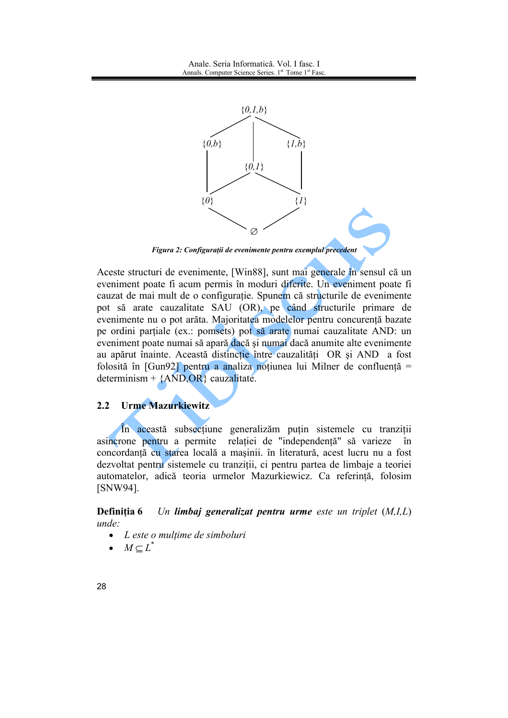

Figura 2: Configurații de evenimente pentru exemplul precedent

Aceste structuri de evenimente, [Win88], sunt mai generale în sensul că un eveniment poate fi acum permis în moduri diferite. Un eveniment poate fi cauzat de mai mult de o configuratie. Spunem că structurile de evenimente pot să arate cauzalitate SAU (OR), pe când structurile primare de evenimente nu o pot arăta. Majoritatea modelelor pentru concurență bazate pe ordini parțiale (ex.: pomsets) pot să arate numai cauzalitate AND: un eveniment poate numai să apară dacă și numai dacă anumite alte evenimente au apărut înainte. Această distincție între cauzalități OR și AND a fost folosită în [Gun92] pentru a analiza noțiunea lui Milner de confluență = determinism +  $\{AND, OR\}$  cauzalitate.

#### $2.2^{\circ}$ **Urme Mazurkiewitz**

În această subsectiune generalizăm puțin sistemele cu tranziții asincrone pentru a permite relației de "independență" să varieze în concordantă cu starea locală a masinii. în literatură, acest lucru nu a fost dezvoltat pentru sistemele cu tranziții, ci pentru partea de limbaje a teoriei automatelor, adică teoria urmelor Mazurkiewicz. Ca referință, folosim [SNW94].

Definitia 6 Un limbai generalizat pentru urme este un triplet  $(M,I,L)$ unde:

- $\bullet$ L este o mulțime de simboluri
- $M\subset L^*$  $\bullet$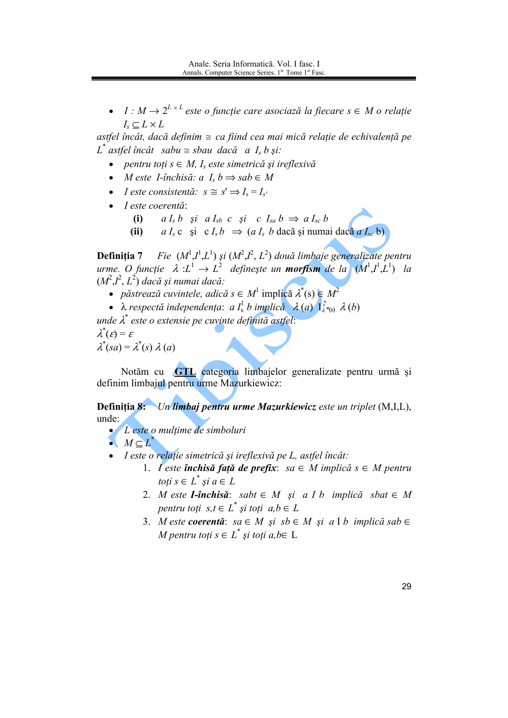•  $I: M \to 2^{L \times L}$  este o functie care asociază la fiecare  $s \in M$  o relație  $I_s \subset L \times L$ 

astfel încât, dacă definim  $\approx$  ca fiind cea mai mică relație de echivalență pe  $L^*$  astfel încât sabu  $\cong$  sbau dacă a I<sub>s</sub> b și:

- pentru toți  $s \in M$ , I<sub>s</sub> este simetrică și ireflexivă
- *M* este *I*-închisă: a  $I_s$   $b \Rightarrow$  sab  $\in$  *M*
- *Leste consistentă*:  $s \cong s' \Rightarrow I_s = I_{s'}$
- $\bullet$  *I* este coerentă:
	- $aI_s b$  și  $aI_{sb} c$  și  $cI_{sa} b \Rightarrow aI_{sc} b$  $(i)$
	- $a I_s$ c și c $I_s b \Rightarrow (a I_s b \text{ dacă și numai dacă } a I_{sc} b)$  $(ii)$

**Definiția 7** Fie  $(M^1,I^1,L^1)$  și  $(M^2,I^2,L^2)$  două limbaje generalizate pentru urme. O funcție  $\lambda L^1 \to L^2$  definește un **morfism** de la  $(M^1,I^1,L^1)$  la  $(M^2,I^2,L^2)$  dacă și numai dacă:

- *păstrează cuvintele, adică*  $s \in M^1$  implică  $\lambda^*(s) \in M^2$
- $\lambda$  respectă independența: a I<sup>1</sup> b implică  $\lambda$  (a)  $I_{\lambda}^{2}$  (b)

unde  $\lambda^*$  este o extensie pe cuvinte definită astfel:  $\lambda^*(\varepsilon) = \varepsilon$ 

 $\lambda^*(sa) = \lambda^*(s) \lambda(a)$ 

Notăm cu GTL categoria limbajelor generalizate pentru urmă și definim limbajul pentru urme Mazurkiewicz:

**Definitia 8:** Un limbai pentru urme Mazurkiewicz este un triplet (M.I.L). unde:

• L'este o multime de simboluri

 $MCL^*$ 

- I este o relatie simetrică și ireflexivă pe L. astfel încât:
	- 1. l'este închisă față de prefix: sa  $\in$  M implică  $s \in M$  pentru toți  $s \in L^*$  și  $a \in L$
	- 2. M este **I-închisă**: sabt  $\in$  M și a I b implică sbat  $\in$  M pentru toți  $s,t \in L^*$  și toți  $a,b \in L$
	- 3. M este coerentă: sa  $\in$  M și sb  $\in$  M și a I b implică sab  $\in$ M pentru toți  $s \in L^*$  și toți a, b $\in L$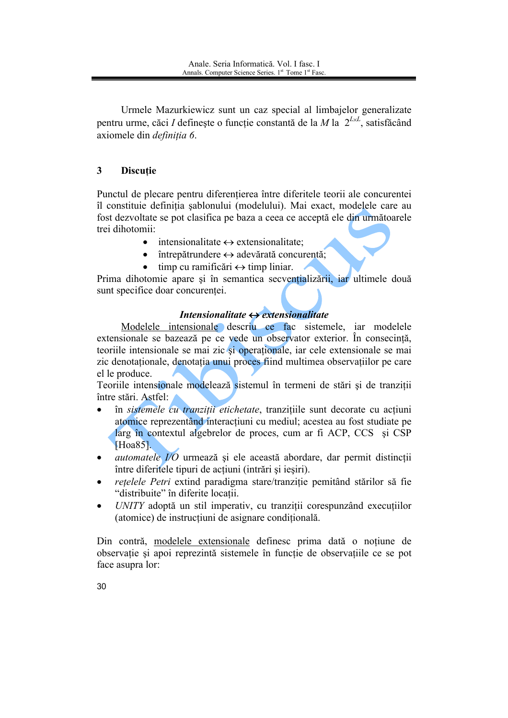Urmele Mazurkiewicz sunt un caz special al limbajelor generalizate pentru urme, căci I definește o funcție constantă de la M la  $2^{L \times L}$ , satisfăcând axiomele din *definiția* 6.

#### 3 **Discuție**

Punctul de plecare pentru diferențierea între diferitele teorii ale concurentei îl constituie definitia sablonului (modelului). Mai exact, modelele care au fost dezvoltate se pot clasifica pe baza a ceea ce acceptă ele din următoarele trei dihotomii:

- $\bullet$  intensionalitate  $\leftrightarrow$  extensionalitate:
- $\bullet$  întrepătrundere  $\leftrightarrow$  adevărată concurentă:
- $\bullet$  timp cu ramificări  $\leftrightarrow$  timp liniar.

Prima dihotomie apare și în semantica secvențializării, iar ultimele două sunt specifice doar concurentei.

# Intensionalitate  $\leftrightarrow$  extensionalitate

Modelele intensionale descriu ce fac sistemele, iar modelele extensionale se bazează pe ce vede un observator exterior. În consecintă, teoriile intensionale se mai zic si operationale, iar cele extensionale se mai zic denotationale, denotatia unui proces fiind multimea observatiilor pe care el le produce.

Teoriile intensionale modelează sistemul în termeni de stări și de tranziții între stări. Astfel:

- în sistemele cu tranziții etichetate, tranzițiile sunt decorate cu acțiuni atomice reprezentând interactiuni cu mediul; acestea au fost studiate pe larg în contextul algebrelor de proces, cum ar fi ACP, CCS și CSP Hoa851.
- *automatele I/O* urmează și ele această abordare, dar permit distincții între diferitele tipuri de acțiuni (intrări și ieșiri).
- rețelele Petri extind paradigma stare/tranziție pemitând stărilor să fie "distribuite" în diferite locatii.
- UNITY adoptă un stil imperativ, cu tranziții corespunzând execuțiilor (atomice) de instructiuni de asignare conditională.

Din contră, modelele extensionale definesc prima dată o noțiune de observație și apoi reprezintă sistemele în funcție de observațiile ce se pot face asupra lor: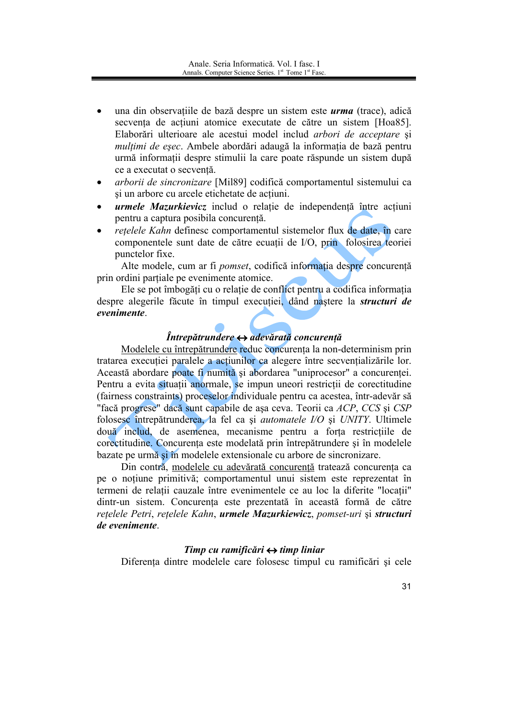- una din observațiile de bază despre un sistem este *urma* (trace), adică secventa de actiuni atomice executate de către un sistem [Hoa85]. Elaborări ulterioare ale acestui model includ arbori de acceptare și mulțimi de esec. Ambele abordări adaugă la informația de bază pentru urmă informatii despre stimulii la care poate răspunde un sistem după ce a executat o secventă.
- arborii de sincronizare [Mil89] codifică comportamentul sistemului ca si un arbore cu arcele etichetate de actiuni.
- urmele Mazurkievicz includ o relație de independență între acțiuni pentru a captura posibila concurență.
- retelele Kahn definesc comportamentul sistemelor flux de date, în care componentele sunt date de către ecuații de I/O, prin, folosirea teoriei punctelor fixe.

Alte modele, cum ar fi *pomset*, codifică informatia despre concurentă prin ordini partiale pe evenimente atomice.

Ele se pot îmbogăti cu o relatie de conflict pentru a codifica informatia despre alegerile făcute în timpul executiei, dând nastere la *structuri de* evenimente.

# $\hat{I}$ ntrepătrundere  $\leftrightarrow$  adevărată concurență

Modelele cu întrepătrundere reduc concurența la non-determinism prin tratarea execuției paralele a acțiunilor ca alegere între secvențializările lor. Această abordare poate fi numită și abordarea "uniprocesor" a concurenței. Pentru a evita situatii anormale, se impun uneori restrictii de corectitudine (fairness constraints) proceselor individuale pentru ca acestea, într-adevăr să "facă progrese" dacă sunt capabile de așa ceva. Teorii ca ACP, CCS și CSP folosesc întrepătrunderea, la fel ca și *automatele I/O* și *UNITY*. Ultimele două includ, de asemenea, mecanisme pentru a forța restricțiile de corectitudine. Concurenta este modelată prin întrepătrundere și în modelele bazate pe urmă si în modelele extensionale cu arbore de sincronizare.

Din contra, modelele cu adevărată concurență tratează concurenta ca pe o noțiune primitivă; comportamentul unui sistem este reprezentat în termeni de relatii cauzale între evenimentele ce au loc la diferite "locatii" dintr-un sistem. Concurenta este prezentată în această formă de către retelele Petri, retelele Kahn, urmele Mazurkiewicz, pomset-uri și structuri de evenimente.

### Timp cu ramificări  $\leftrightarrow$  timp liniar

Diferenta dintre modelele care folosesc timpul cu ramificări și cele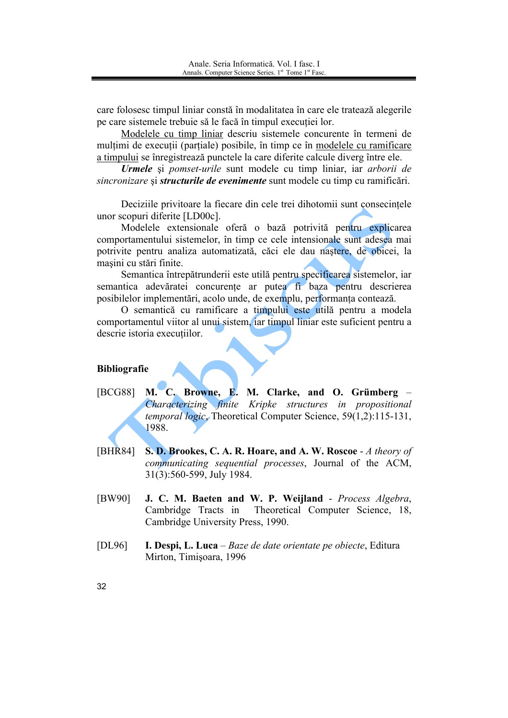care folosesc timpul liniar constă în modalitatea în care ele tratează alegerile pe care sistemele trebuie să le facă în timpul execuției lor.

Modelele cu timp liniar descriu sistemele concurente în termeni de multimi de executii (partiale) posibile, în timp ce în modelele cu ramificare a timpului se înregistrează punctele la care diferite calcule diverg între ele.

Urmele și pomset-urile sunt modele cu timp liniar, iar arborii de sincronizare și structurile de evenimente sunt modele cu timp cu ramificări.

Deciziile privitoare la fiecare din cele trei dihotomii sunt consecințele unor scopuri diferite [LD00c].

Modelele extensionale oferă o bază potrivită pentru explicarea comportamentului sistemelor, în timp ce cele intensionale sunt adesea mai potrivite pentru analiza automatizată, căci ele dau nastere, de obicei, la masini cu stări finite.

Semantica întrepătrunderii este utilă pentru specificarea sistemelor, iar semantica adevăratei concurente ar putea fi baza pentru descrierea posibilelor implementări, acolo unde, de exemplu, performanta contează.

O semantică cu ramificare a timpului este utilă pentru a modela comportamentul viitor al unui sistem, iar timpul liniar este suficient pentru a descrie istoria executiilor.

### **Bibliografie**

- M. C. Browne, E. M. Clarke, and O. Grümberg -[BCG88] Characterizing finite Kripke structures in propositional temporal logic. Theoretical Computer Science, 59(1,2):115-131, 1988.
- [BHR84] S. D. Brookes, C. A. R. Hoare, and A. W. Roscoe - A theory of communicating sequential processes, Journal of the ACM, 31(3):560-599, July 1984.
- [BW90] J. C. M. Baeten and W. P. Weijland - Process Algebra, Cambridge Tracts in Theoretical Computer Science, 18, Cambridge University Press, 1990.
- $[DL96]$ I. Despi, L. Luca – Baze de date orientate pe obiecte, Editura Mirton, Timisoara, 1996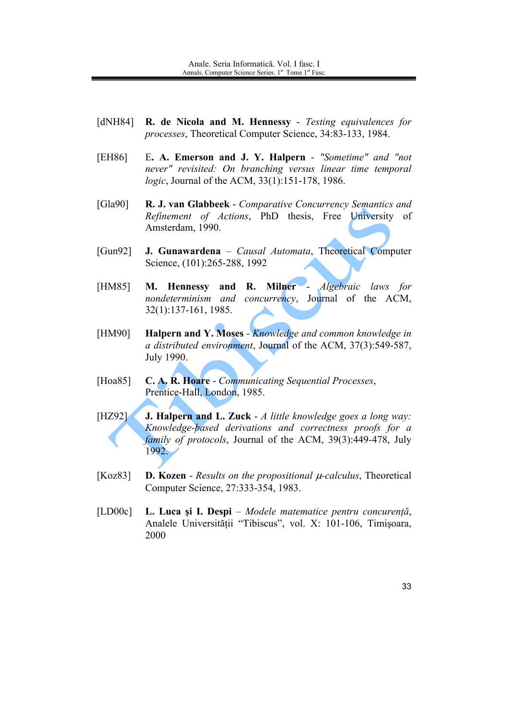- $[dNH84]$ R. de Nicola and M. Hennessy - Testing equivalences for *processes*, Theoretical Computer Science, 34:83-133, 1984.
- E. A. Emerson and J. Y. Halpern "Sometime" and "not [EH86] never" revisited: On branching versus linear time temporal logic, Journal of the ACM, 33(1):151-178, 1986.
- [ $Gla90$ ] R. J. van Glabbeek - Comparative Concurrency Semantics and Refinement of Actions, PhD thesis, Free University of Amsterdam, 1990.
- $[Gun92]$ **J. Gunawardena** – *Causal Automata*, Theoretical Computer Science, (101):265-288, 1992
- M. Hennessy and R. Milner -Algebraic laws for **FHM851** nondeterminism and concurrency, Journal of the ACM,  $32(1):137-161$ , 1985.
- Halpern and Y. Moses Knowledge and common knowledge in [HM90] a distributed environment, Journal of the ACM, 37(3):549-587, July 1990.
- C. A. R. Hoare Communicating Sequential Processes, [Hoa $85$ ] Prentice-Hall, London, 1985.
- [HZ92] **J. Halpern and L. Zuck** -  $\Lambda$  little knowledge goes a long way: Knowledge-based derivations and correctness proofs for a *family of protocols*, Journal of the ACM, 39(3):449-478, July 1992.
- $[Koz83]$ **D. Kozen** - *Results on the propositional*  $\mu$ *-calculus*, Theoretical Computer Science, 27:333-354, 1983.
- $[LD00c]$ L. Luca și I. Despi – Modele matematice pentru concurență, Analele Universității "Tibiscus", vol. X: 101-106, Timișoara, 2000